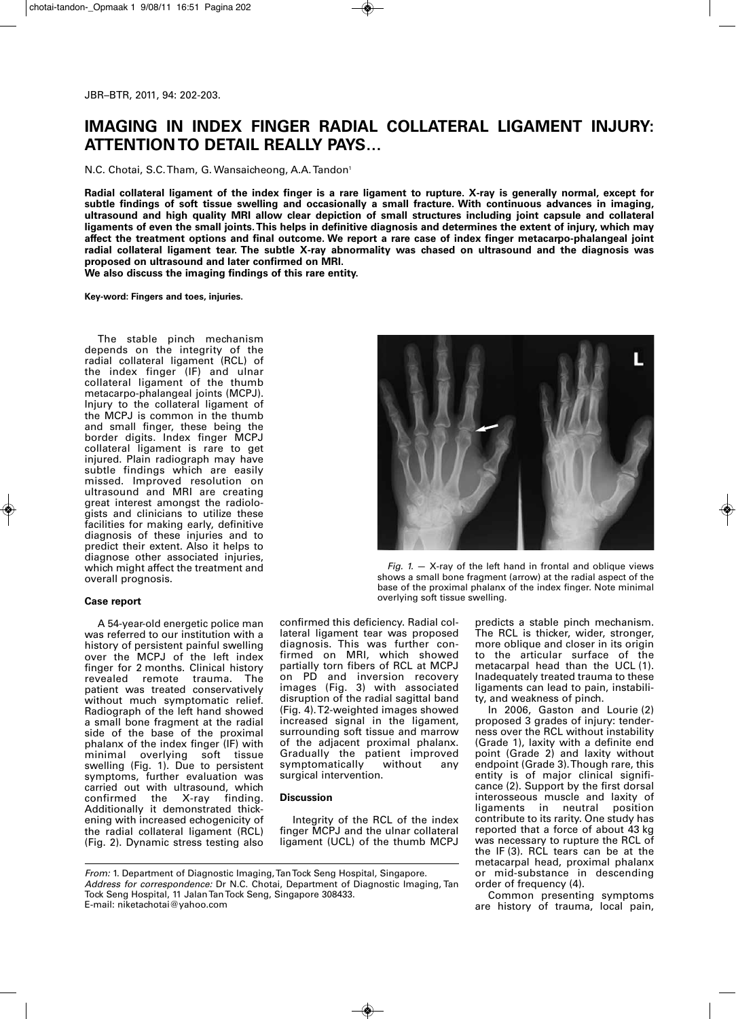## **IMAGING IN INDEX FINGER RADIAL COLLATERAL LIGAMENT INJURY: ATTENTIONTO DETAIL REALLY PAYS…**

N.C. Chotai, S.C. Tham, G. Wansaicheong, A.A. Tandon<sup>1</sup>

Radial collateral ligament of the index finger is a rare ligament to rupture. X-ray is generally normal, except for **subtle findings of soft tissue swelling and occasionally a small fracture. With continuous advances in imaging, ultrasound and high quality MRI allow clear depiction of small structures including joint capsule and collateral** ligaments of even the small joints. This helps in definitive diagnosis and determines the extent of injury, which may affect the treatment options and final outcome. We report a rare case of index finger metacarpo-phalangeal joint **radial collateral ligament tear. The subtle X-ray abnormality was chased on ultrasound and the diagnosis was proposed on ultrasound and later confirmed on MRI. We also discuss the imaging findings of this rare entity.**

**Key-word: Fingers and toes, injuries.**

The stable pinch mechanism depends on the integrity of the radial collateral ligament (RCL) of the index finger (IF) and ulnar collateral ligament of the thumb metacarpo-phalangeal joints (MCPJ). Injury to the collateral ligament of the MCPJ is common in the thumb and small finger, these being the border digits. Index finger MCPJ collateral ligament is rare to get injured. Plain radiograph may have subtle findings which are easily missed. Improved resolution on ultrasound and MRI are creating great interest amongst the radiologists and clinicians to utilize these facilities for making early, definitive diagnosis of these injuries and to predict their extent. Also it helps to diagnose other associated injuries, which might affect the treatment and overall prognosis.

## **Case report**

A 54-year-old energetic police man was referred to our institution with a history of persistent painful swelling over the MCPJ of the left index finger for 2 months. Clinical history revealed remote trauma. The patient was treated conservatively without much symptomatic relief. Radiograph of the left hand showed a small bone fragment at the radial side of the base of the proximal phalanx of the index finger (IF) with overlying soft tissue swelling (Fig. 1). Due to persistent symptoms, further evaluation was carried out with ultrasound, which<br>confirmed the X-ray finding. the X-ray Additionally it demonstrated thickening with increased echogenicity of the radial collateral ligament (RCL) (Fig. 2). Dynamic stress testing also



*Fig. 1.* — X-ray of the left hand in frontal and oblique views shows a small bone fragment (arrow) at the radial aspect of the base of the proximal phalanx of the index finger. Note minimal overlying soft tissue swelling.

confirmed this deficiency. Radial collateral ligament tear was proposed diagnosis. This was further confirmed on MRI, which showed partially torn fibers of RCL at MCPJ on PD and inversion recovery images (Fig. 3) with associated disruption of the radial sagittal band (Fig. 4).T2-weighted images showed increased signal in the ligament, surrounding soft tissue and marrow of the adjacent proximal phalanx. Gradually the patient improved<br>symptomatically without any symptomatically without surgical intervention.

## **Discussion**

Integrity of the RCL of the index finger MCPJ and the ulnar collateral ligament (UCL) of the thumb MCPJ

*From:* 1. Department of Diagnostic Imaging,TanTock Seng Hospital, Singapore. *Address for correspondence:* Dr N.C. Chotai, Department of Diagnostic Imaging, Tan Tock Seng Hospital, 11 JalanTanTock Seng, Singapore 308433. E-mail: niketachotai@yahoo.com

predicts a stable pinch mechanism. The RCL is thicker, wider, stronger, more oblique and closer in its origin to the articular surface of the metacarpal head than the UCL (1). Inadequately treated trauma to these ligaments can lead to pain, instability, and weakness of pinch.

In 2006, Gaston and Lourie (2) proposed 3 grades of injury: tenderness over the RCL without instability (Grade 1), laxity with a definite end point (Grade 2) and laxity without endpoint (Grade 3).Though rare, this entity is of major clinical significance (2). Support by the first dorsal interosseous muscle and laxity of ligaments in neutral position contribute to its rarity. One study has reported that a force of about 43 kg was necessary to rupture the RCL of the IF (3). RCL tears can be at the metacarpal head, proximal phalanx or mid-substance in descending order of frequency (4).

Common presenting symptoms are history of trauma, local pain,